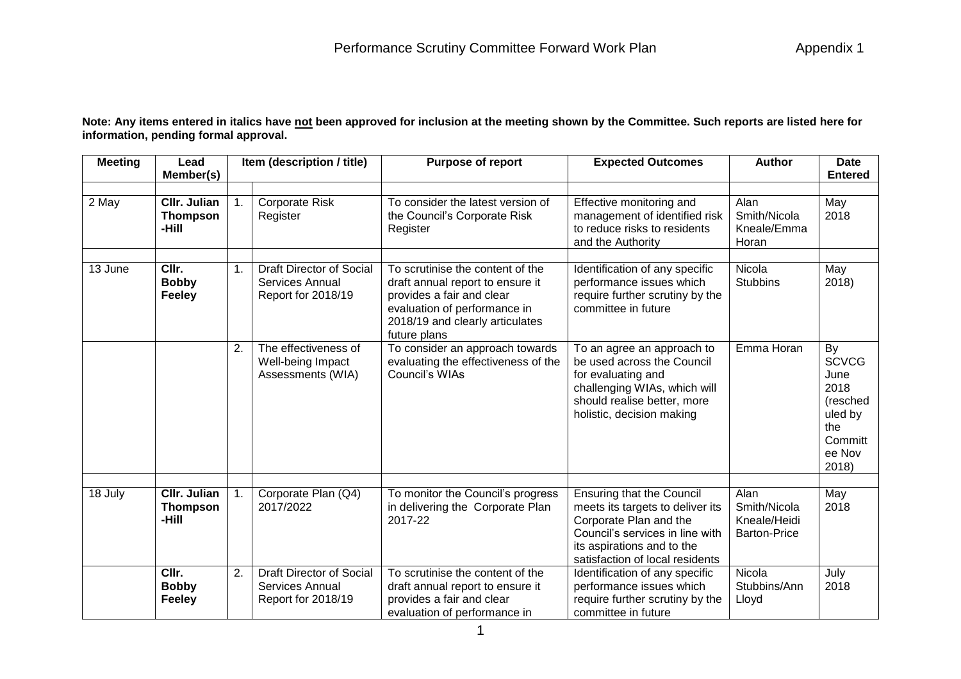**Note: Any items entered in italics have not been approved for inclusion at the meeting shown by the Committee. Such reports are listed here for information, pending formal approval.**

| <b>Meeting</b> | Lead<br>Member(s)                        |    | Item (description / title)                                                      | <b>Purpose of report</b>                                                                                                                                                             | <b>Expected Outcomes</b>                                                                                                                                                                           | <b>Author</b>                                               | <b>Date</b><br><b>Entered</b>                                                                  |
|----------------|------------------------------------------|----|---------------------------------------------------------------------------------|--------------------------------------------------------------------------------------------------------------------------------------------------------------------------------------|----------------------------------------------------------------------------------------------------------------------------------------------------------------------------------------------------|-------------------------------------------------------------|------------------------------------------------------------------------------------------------|
| 2 May          | CIIr. Julian<br><b>Thompson</b><br>-Hill | 1. | <b>Corporate Risk</b><br>Register                                               | To consider the latest version of<br>the Council's Corporate Risk<br>Register                                                                                                        | Effective monitoring and<br>management of identified risk<br>to reduce risks to residents<br>and the Authority                                                                                     | Alan<br>Smith/Nicola<br>Kneale/Emma<br>Horan                | May<br>2018                                                                                    |
| 13 June        | CIIr.<br><b>Bobby</b><br><b>Feeley</b>   | 1. | <b>Draft Director of Social</b><br><b>Services Annual</b><br>Report for 2018/19 | To scrutinise the content of the<br>draft annual report to ensure it<br>provides a fair and clear<br>evaluation of performance in<br>2018/19 and clearly articulates<br>future plans | Identification of any specific<br>performance issues which<br>require further scrutiny by the<br>committee in future                                                                               | Nicola<br><b>Stubbins</b>                                   | May<br>2018)                                                                                   |
|                |                                          | 2. | The effectiveness of<br>Well-being Impact<br>Assessments (WIA)                  | To consider an approach towards<br>evaluating the effectiveness of the<br>Council's WIAs                                                                                             | To an agree an approach to<br>be used across the Council<br>for evaluating and<br>challenging WIAs, which will<br>should realise better, more<br>holistic, decision making                         | Emma Horan                                                  | By<br><b>SCVCG</b><br>June<br>2018<br>(resched<br>uled by<br>the<br>Committ<br>ee Nov<br>2018) |
| 18 July        | CIIr. Julian<br><b>Thompson</b><br>-Hill |    | Corporate Plan (Q4)<br>2017/2022                                                | To monitor the Council's progress<br>in delivering the Corporate Plan<br>2017-22                                                                                                     | <b>Ensuring that the Council</b><br>meets its targets to deliver its<br>Corporate Plan and the<br>Council's services in line with<br>its aspirations and to the<br>satisfaction of local residents | Alan<br>Smith/Nicola<br>Kneale/Heidi<br><b>Barton-Price</b> | May<br>2018                                                                                    |
|                | CIIr.<br><b>Bobby</b><br><b>Feeley</b>   | 2. | Draft Director of Social<br>Services Annual<br>Report for 2018/19               | To scrutinise the content of the<br>draft annual report to ensure it<br>provides a fair and clear<br>evaluation of performance in                                                    | Identification of any specific<br>performance issues which<br>require further scrutiny by the<br>committee in future                                                                               | Nicola<br>Stubbins/Ann<br>Lloyd                             | July<br>2018                                                                                   |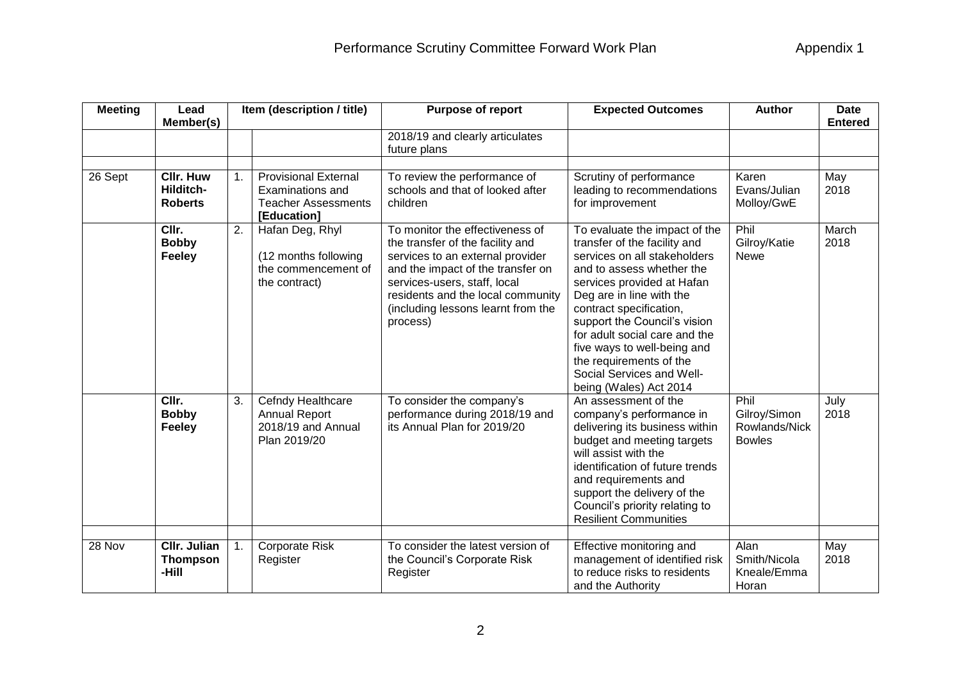| <b>Meeting</b> | Item (description / title)<br>Lead<br><b>Purpose of report</b><br>Member(s) |    |                                                                                                     | <b>Expected Outcomes</b>                                                                                                                                                                                                                                            | <b>Author</b>                                                                                                                                                                                                                                                                                                                                                                                     | <b>Date</b><br><b>Entered</b>                          |               |
|----------------|-----------------------------------------------------------------------------|----|-----------------------------------------------------------------------------------------------------|---------------------------------------------------------------------------------------------------------------------------------------------------------------------------------------------------------------------------------------------------------------------|---------------------------------------------------------------------------------------------------------------------------------------------------------------------------------------------------------------------------------------------------------------------------------------------------------------------------------------------------------------------------------------------------|--------------------------------------------------------|---------------|
|                |                                                                             |    |                                                                                                     | 2018/19 and clearly articulates<br>future plans                                                                                                                                                                                                                     |                                                                                                                                                                                                                                                                                                                                                                                                   |                                                        |               |
| 26 Sept        | <b>CIIr. Huw</b><br>Hilditch-<br><b>Roberts</b>                             | 1. | <b>Provisional External</b><br><b>Examinations and</b><br><b>Teacher Assessments</b><br>[Education] | To review the performance of<br>schools and that of looked after<br>children                                                                                                                                                                                        | Scrutiny of performance<br>leading to recommendations<br>for improvement                                                                                                                                                                                                                                                                                                                          | Karen<br>Evans/Julian<br>Molloy/GwE                    | May<br>2018   |
|                | CIIr.<br><b>Bobby</b><br><b>Feeley</b>                                      | 2. | Hafan Deg, Rhyl<br>(12 months following<br>the commencement of<br>the contract)                     | To monitor the effectiveness of<br>the transfer of the facility and<br>services to an external provider<br>and the impact of the transfer on<br>services-users, staff, local<br>residents and the local community<br>(including lessons learnt from the<br>process) | To evaluate the impact of the<br>transfer of the facility and<br>services on all stakeholders<br>and to assess whether the<br>services provided at Hafan<br>Deg are in line with the<br>contract specification,<br>support the Council's vision<br>for adult social care and the<br>five ways to well-being and<br>the requirements of the<br>Social Services and Well-<br>being (Wales) Act 2014 | Phil<br>Gilroy/Katie<br><b>Newe</b>                    | March<br>2018 |
|                | CIIr.<br><b>Bobby</b><br><b>Feeley</b>                                      | 3. | Cefndy Healthcare<br><b>Annual Report</b><br>2018/19 and Annual<br>Plan 2019/20                     | To consider the company's<br>performance during 2018/19 and<br>its Annual Plan for 2019/20                                                                                                                                                                          | An assessment of the<br>company's performance in<br>delivering its business within<br>budget and meeting targets<br>will assist with the<br>identification of future trends<br>and requirements and<br>support the delivery of the<br>Council's priority relating to<br><b>Resilient Communities</b>                                                                                              | Phil<br>Gilroy/Simon<br>Rowlands/Nick<br><b>Bowles</b> | July<br>2018  |
| 28 Nov         | Cllr. Julian<br><b>Thompson</b><br>-Hill                                    | 1. | Corporate Risk<br>Register                                                                          | To consider the latest version of<br>the Council's Corporate Risk<br>Register                                                                                                                                                                                       | Effective monitoring and<br>management of identified risk<br>to reduce risks to residents<br>and the Authority                                                                                                                                                                                                                                                                                    | Alan<br>Smith/Nicola<br>Kneale/Emma<br>Horan           | May<br>2018   |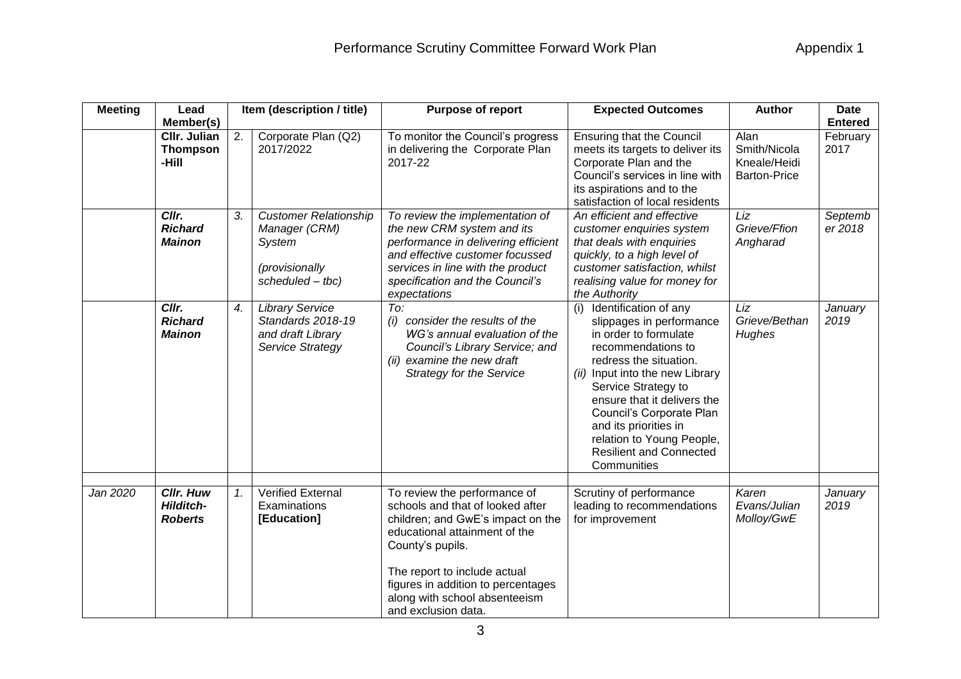| <b>Meeting</b> | Purpose of report<br>Lead<br>Item (description / title)<br>Member(s) |    | <b>Expected Outcomes</b>                                                                        | <b>Author</b>                                                                                                                                                                                                                                                                            | <b>Date</b><br><b>Entered</b>                                                                                                                                                                                                                                                                                                                                 |                                                             |                    |
|----------------|----------------------------------------------------------------------|----|-------------------------------------------------------------------------------------------------|------------------------------------------------------------------------------------------------------------------------------------------------------------------------------------------------------------------------------------------------------------------------------------------|---------------------------------------------------------------------------------------------------------------------------------------------------------------------------------------------------------------------------------------------------------------------------------------------------------------------------------------------------------------|-------------------------------------------------------------|--------------------|
|                | CIIr. Julian<br><b>Thompson</b><br>-Hill                             | 2. | Corporate Plan (Q2)<br>2017/2022                                                                | To monitor the Council's progress<br>in delivering the Corporate Plan<br>2017-22                                                                                                                                                                                                         | <b>Ensuring that the Council</b><br>meets its targets to deliver its<br>Corporate Plan and the<br>Council's services in line with<br>its aspirations and to the<br>satisfaction of local residents                                                                                                                                                            | Alan<br>Smith/Nicola<br>Kneale/Heidi<br><b>Barton-Price</b> | February<br>2017   |
|                | Cllr.<br><b>Richard</b><br><b>Mainon</b>                             | 3. | <b>Customer Relationship</b><br>Manager (CRM)<br>System<br>(provisionally<br>scheduled $-$ tbc) | To review the implementation of<br>the new CRM system and its<br>performance in delivering efficient<br>and effective customer focussed<br>services in line with the product<br>specification and the Council's<br>expectations                                                          | An efficient and effective<br>customer enquiries system<br>that deals with enquiries<br>quickly, to a high level of<br>customer satisfaction, whilst<br>realising value for money for<br>the Authority                                                                                                                                                        | Liz<br>Grieve/Ffion<br>Angharad                             | Septemb<br>er 2018 |
|                | Clrr.<br><b>Richard</b><br><b>Mainon</b>                             | 4. | <b>Library Service</b><br>Standards 2018-19<br>and draft Library<br>Service Strategy            | To:<br>(i) consider the results of the<br>WG's annual evaluation of the<br>Council's Library Service; and<br>examine the new draft<br>(ii)<br><b>Strategy for the Service</b>                                                                                                            | Identification of any<br>(i)<br>slippages in performance<br>in order to formulate<br>recommendations to<br>redress the situation.<br>(ii) Input into the new Library<br>Service Strategy to<br>ensure that it delivers the<br>Council's Corporate Plan<br>and its priorities in<br>relation to Young People,<br><b>Resilient and Connected</b><br>Communities | Liz<br>Grieve/Bethan<br>Hughes                              | January<br>2019    |
| Jan 2020       | <b>Cllr. Huw</b><br><b>Hilditch-</b><br><b>Roberts</b>               | 1. | <b>Verified External</b><br>Examinations<br>[Education]                                         | To review the performance of<br>schools and that of looked after<br>children; and GwE's impact on the<br>educational attainment of the<br>County's pupils.<br>The report to include actual<br>figures in addition to percentages<br>along with school absenteeism<br>and exclusion data. | Scrutiny of performance<br>leading to recommendations<br>for improvement                                                                                                                                                                                                                                                                                      | Karen<br>Evans/Julian<br>Molloy/GwE                         | January<br>2019    |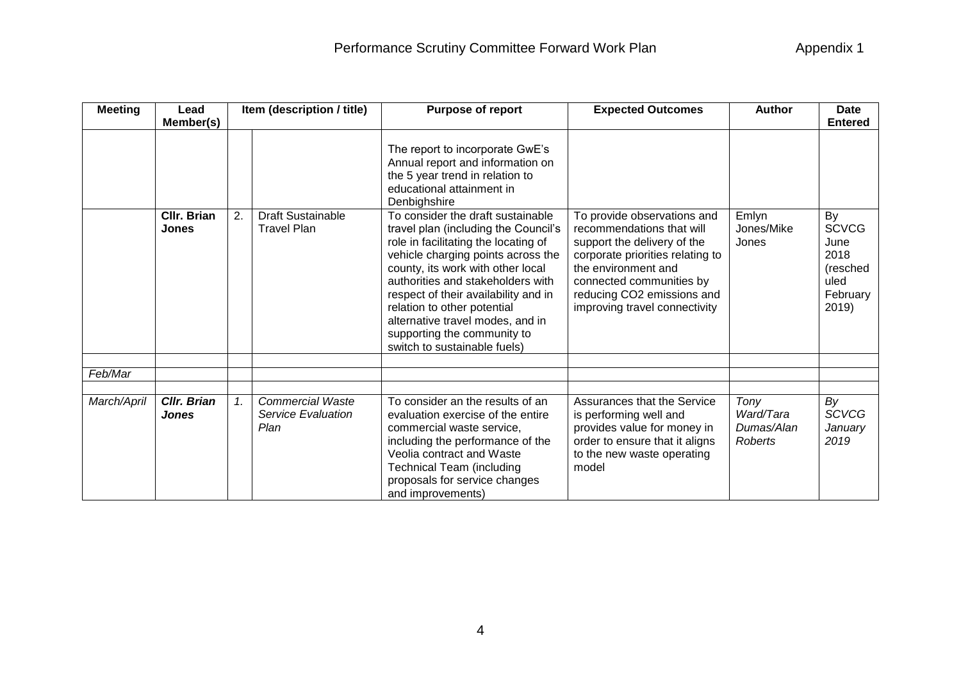| <b>Meeting</b> | Lead                        |    | Item (description / title)                            | Purpose of report                                                                                                                                                                                                                                                                                                                                                                                           | <b>Expected Outcomes</b>                                                                                                                                                                                                                      | <b>Author</b>                              | <b>Date</b>                                                                 |
|----------------|-----------------------------|----|-------------------------------------------------------|-------------------------------------------------------------------------------------------------------------------------------------------------------------------------------------------------------------------------------------------------------------------------------------------------------------------------------------------------------------------------------------------------------------|-----------------------------------------------------------------------------------------------------------------------------------------------------------------------------------------------------------------------------------------------|--------------------------------------------|-----------------------------------------------------------------------------|
|                | Member(s)                   |    |                                                       |                                                                                                                                                                                                                                                                                                                                                                                                             |                                                                                                                                                                                                                                               |                                            | <b>Entered</b>                                                              |
|                |                             |    |                                                       | The report to incorporate GwE's<br>Annual report and information on<br>the 5 year trend in relation to<br>educational attainment in<br>Denbighshire                                                                                                                                                                                                                                                         |                                                                                                                                                                                                                                               |                                            |                                                                             |
|                | CIIr. Brian<br><b>Jones</b> | 2. | <b>Draft Sustainable</b><br><b>Travel Plan</b>        | To consider the draft sustainable<br>travel plan (including the Council's<br>role in facilitating the locating of<br>vehicle charging points across the<br>county, its work with other local<br>authorities and stakeholders with<br>respect of their availability and in<br>relation to other potential<br>alternative travel modes, and in<br>supporting the community to<br>switch to sustainable fuels) | To provide observations and<br>recommendations that will<br>support the delivery of the<br>corporate priorities relating to<br>the environment and<br>connected communities by<br>reducing CO2 emissions and<br>improving travel connectivity | Emlyn<br>Jones/Mike<br>Jones               | By<br><b>SCVCG</b><br>June<br>2018<br>(resched<br>uled<br>February<br>2019) |
| Feb/Mar        |                             |    |                                                       |                                                                                                                                                                                                                                                                                                                                                                                                             |                                                                                                                                                                                                                                               |                                            |                                                                             |
|                |                             |    |                                                       |                                                                                                                                                                                                                                                                                                                                                                                                             |                                                                                                                                                                                                                                               |                                            |                                                                             |
| March/April    | Cllr. Brian<br><b>Jones</b> | 1. | <b>Commercial Waste</b><br>Service Evaluation<br>Plan | To consider an the results of an<br>evaluation exercise of the entire<br>commercial waste service,<br>including the performance of the<br>Veolia contract and Waste<br><b>Technical Team (including</b><br>proposals for service changes<br>and improvements)                                                                                                                                               | Assurances that the Service<br>is performing well and<br>provides value for money in<br>order to ensure that it aligns<br>to the new waste operating<br>model                                                                                 | Tony<br>Ward/Tara<br>Dumas/Alan<br>Roberts | By<br><b>SCVCG</b><br>January<br>2019                                       |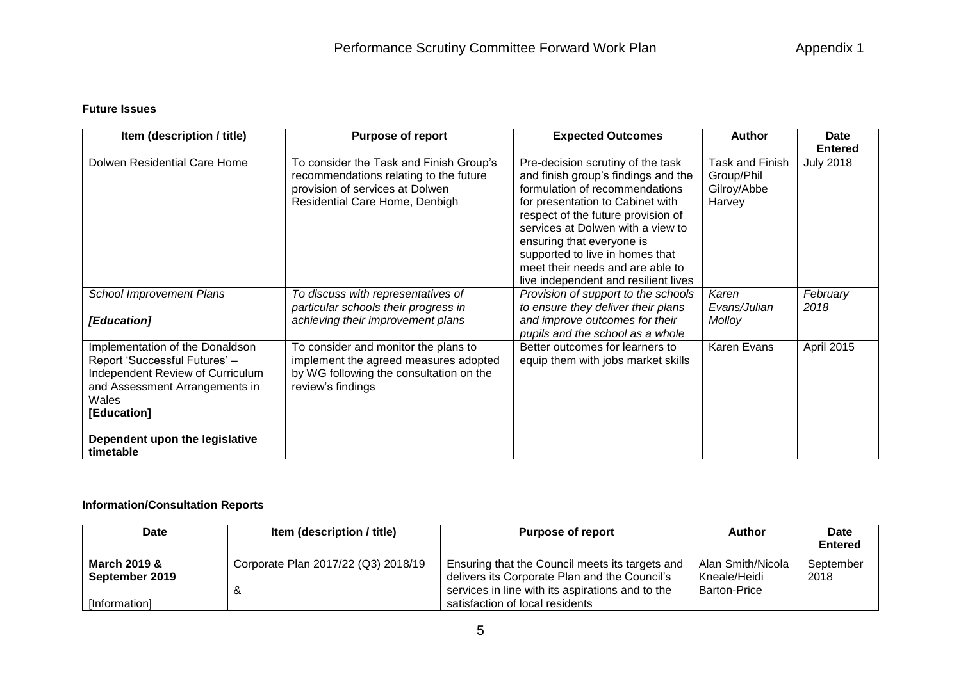## **Future Issues**

| Item (description / title)                                                                                                                                     | <b>Purpose of report</b>                                                                                                                               | <b>Expected Outcomes</b>                                                                                                                                                                                                                                                                                                                                              | <b>Author</b>                                          | <b>Date</b><br><b>Entered</b> |
|----------------------------------------------------------------------------------------------------------------------------------------------------------------|--------------------------------------------------------------------------------------------------------------------------------------------------------|-----------------------------------------------------------------------------------------------------------------------------------------------------------------------------------------------------------------------------------------------------------------------------------------------------------------------------------------------------------------------|--------------------------------------------------------|-------------------------------|
| Dolwen Residential Care Home                                                                                                                                   | To consider the Task and Finish Group's<br>recommendations relating to the future<br>provision of services at Dolwen<br>Residential Care Home, Denbigh | Pre-decision scrutiny of the task<br>and finish group's findings and the<br>formulation of recommendations<br>for presentation to Cabinet with<br>respect of the future provision of<br>services at Dolwen with a view to<br>ensuring that everyone is<br>supported to live in homes that<br>meet their needs and are able to<br>live independent and resilient lives | Task and Finish<br>Group/Phil<br>Gilroy/Abbe<br>Harvey | <b>July 2018</b>              |
| <b>School Improvement Plans</b><br>[Education]                                                                                                                 | To discuss with representatives of<br>particular schools their progress in<br>achieving their improvement plans                                        | Provision of support to the schools<br>to ensure they deliver their plans<br>and improve outcomes for their<br>pupils and the school as a whole                                                                                                                                                                                                                       | Karen<br>Evans/Julian<br>Molloy                        | February<br>2018              |
| Implementation of the Donaldson<br>Report 'Successful Futures' -<br>Independent Review of Curriculum<br>and Assessment Arrangements in<br>Wales<br>[Education] | To consider and monitor the plans to<br>implement the agreed measures adopted<br>by WG following the consultation on the<br>review's findings          | Better outcomes for learners to<br>equip them with jobs market skills                                                                                                                                                                                                                                                                                                 | Karen Evans                                            | April 2015                    |
| Dependent upon the legislative<br>timetable                                                                                                                    |                                                                                                                                                        |                                                                                                                                                                                                                                                                                                                                                                       |                                                        |                               |

## **Information/Consultation Reports**

| <b>Date</b>    | <b>Item (description / title)</b>   | <b>Purpose of report</b>                         | Author              | Date           |
|----------------|-------------------------------------|--------------------------------------------------|---------------------|----------------|
|                |                                     |                                                  |                     | <b>Entered</b> |
| March 2019 &   | Corporate Plan 2017/22 (Q3) 2018/19 | Ensuring that the Council meets its targets and  | Alan Smith/Nicola   | September      |
| September 2019 |                                     | delivers its Corporate Plan and the Council's    | Kneale/Heidi        | 2018           |
|                | ∝                                   | services in line with its aspirations and to the | <b>Barton-Price</b> |                |
| [Information]  |                                     | satisfaction of local residents                  |                     |                |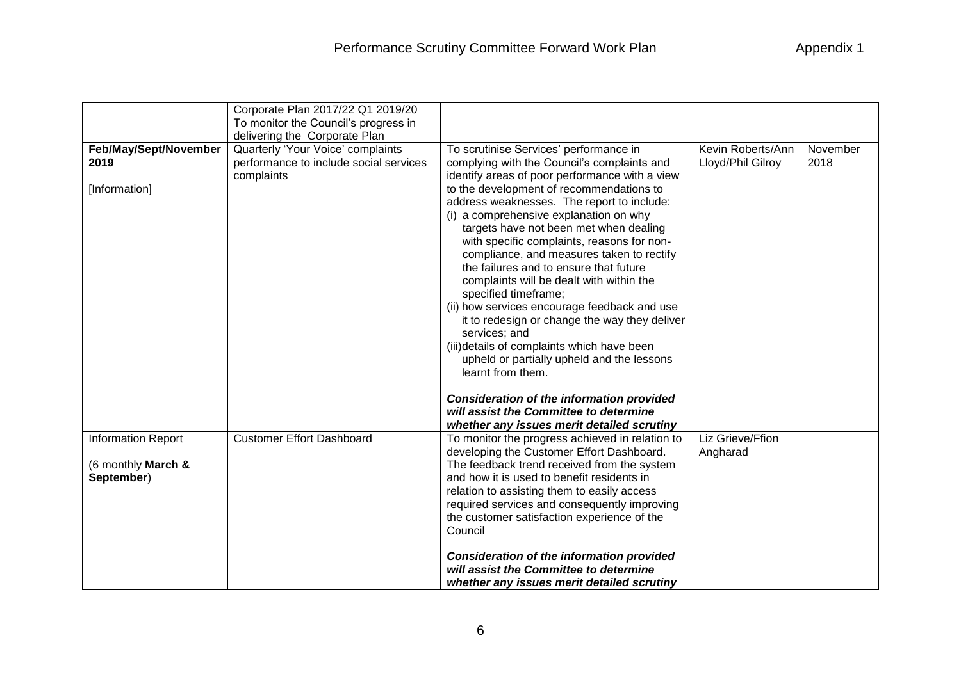| Appendix 1 |  |  |  |  |
|------------|--|--|--|--|
|------------|--|--|--|--|

|                           | Corporate Plan 2017/22 Q1 2019/20      |                                                  |                   |          |
|---------------------------|----------------------------------------|--------------------------------------------------|-------------------|----------|
|                           | To monitor the Council's progress in   |                                                  |                   |          |
|                           | delivering the Corporate Plan          |                                                  |                   |          |
| Feb/May/Sept/November     | Quarterly 'Your Voice' complaints      | To scrutinise Services' performance in           | Kevin Roberts/Ann | November |
| 2019                      | performance to include social services | complying with the Council's complaints and      | Lloyd/Phil Gilroy | 2018     |
|                           | complaints                             | identify areas of poor performance with a view   |                   |          |
| [Information]             |                                        | to the development of recommendations to         |                   |          |
|                           |                                        | address weaknesses. The report to include:       |                   |          |
|                           |                                        | (i) a comprehensive explanation on why           |                   |          |
|                           |                                        | targets have not been met when dealing           |                   |          |
|                           |                                        | with specific complaints, reasons for non-       |                   |          |
|                           |                                        | compliance, and measures taken to rectify        |                   |          |
|                           |                                        | the failures and to ensure that future           |                   |          |
|                           |                                        | complaints will be dealt with within the         |                   |          |
|                           |                                        | specified timeframe;                             |                   |          |
|                           |                                        | (ii) how services encourage feedback and use     |                   |          |
|                           |                                        | it to redesign or change the way they deliver    |                   |          |
|                           |                                        | services; and                                    |                   |          |
|                           |                                        | (iii) details of complaints which have been      |                   |          |
|                           |                                        | upheld or partially upheld and the lessons       |                   |          |
|                           |                                        | learnt from them.                                |                   |          |
|                           |                                        |                                                  |                   |          |
|                           |                                        | <b>Consideration of the information provided</b> |                   |          |
|                           |                                        | will assist the Committee to determine           |                   |          |
|                           |                                        | whether any issues merit detailed scrutiny       |                   |          |
| <b>Information Report</b> | <b>Customer Effort Dashboard</b>       | To monitor the progress achieved in relation to  | Liz Grieve/Ffion  |          |
|                           |                                        | developing the Customer Effort Dashboard.        | Angharad          |          |
| (6 monthly March &        |                                        | The feedback trend received from the system      |                   |          |
| September)                |                                        | and how it is used to benefit residents in       |                   |          |
|                           |                                        | relation to assisting them to easily access      |                   |          |
|                           |                                        | required services and consequently improving     |                   |          |
|                           |                                        | the customer satisfaction experience of the      |                   |          |
|                           |                                        | Council                                          |                   |          |
|                           |                                        |                                                  |                   |          |
|                           |                                        | <b>Consideration of the information provided</b> |                   |          |
|                           |                                        | will assist the Committee to determine           |                   |          |
|                           |                                        | whether any issues merit detailed scrutiny       |                   |          |